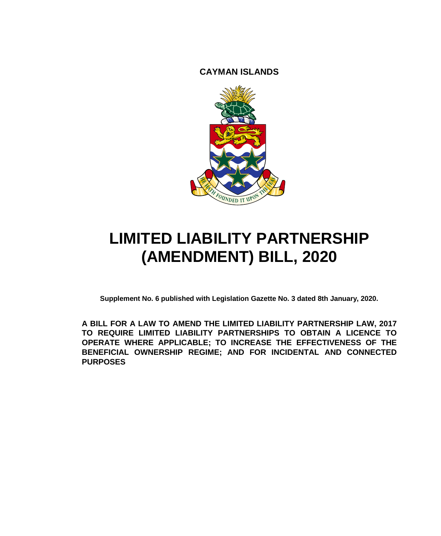**CAYMAN ISLANDS**



# **LIMITED LIABILITY PARTNERSHIP (AMENDMENT) BILL, 2020**

**Supplement No. 6 published with Legislation Gazette No. 3 dated 8th January, 2020.**

**A BILL FOR A LAW TO AMEND THE LIMITED LIABILITY PARTNERSHIP LAW, 2017 TO REQUIRE LIMITED LIABILITY PARTNERSHIPS TO OBTAIN A LICENCE TO OPERATE WHERE APPLICABLE; TO INCREASE THE EFFECTIVENESS OF THE BENEFICIAL OWNERSHIP REGIME; AND FOR INCIDENTAL AND CONNECTED PURPOSES**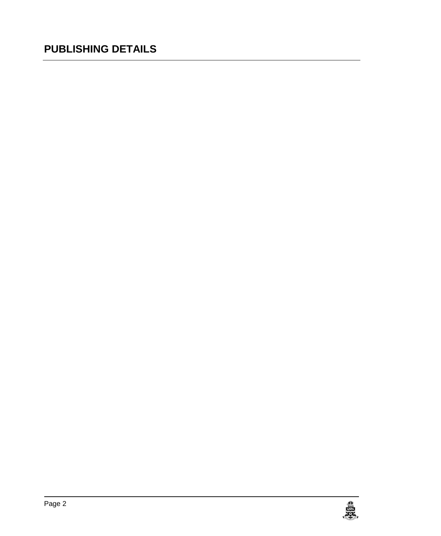### **PUBLISHING DETAILS**

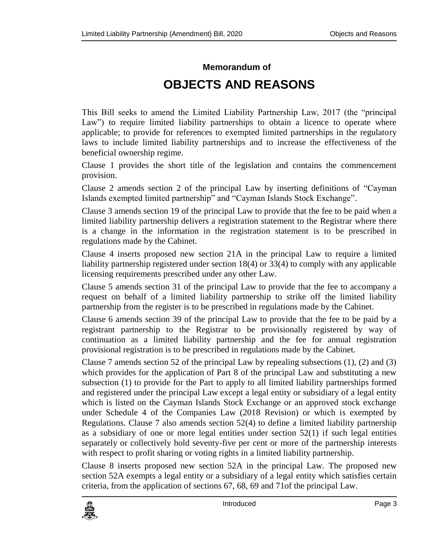### **Memorandum of OBJECTS AND REASONS**

This Bill seeks to amend the Limited Liability Partnership Law, 2017 (the "principal Law") to require limited liability partnerships to obtain a licence to operate where applicable; to provide for references to exempted limited partnerships in the regulatory laws to include limited liability partnerships and to increase the effectiveness of the beneficial ownership regime.

Clause 1 provides the short title of the legislation and contains the commencement provision.

Clause 2 amends section 2 of the principal Law by inserting definitions of "Cayman Islands exempted limited partnership" and "Cayman Islands Stock Exchange".

Clause 3 amends section 19 of the principal Law to provide that the fee to be paid when a limited liability partnership delivers a registration statement to the Registrar where there is a change in the information in the registration statement is to be prescribed in regulations made by the Cabinet.

Clause 4 inserts proposed new section 21A in the principal Law to require a limited liability partnership registered under section 18(4) or 33(4) to comply with any applicable licensing requirements prescribed under any other Law.

Clause 5 amends section 31 of the principal Law to provide that the fee to accompany a request on behalf of a limited liability partnership to strike off the limited liability partnership from the register is to be prescribed in regulations made by the Cabinet.

Clause 6 amends section 39 of the principal Law to provide that the fee to be paid by a registrant partnership to the Registrar to be provisionally registered by way of continuation as a limited liability partnership and the fee for annual registration provisional registration is to be prescribed in regulations made by the Cabinet.

Clause 7 amends section 52 of the principal Law by repealing subsections (1), (2) and (3) which provides for the application of Part 8 of the principal Law and substituting a new subsection (1) to provide for the Part to apply to all limited liability partnerships formed and registered under the principal Law except a legal entity or subsidiary of a legal entity which is listed on the Cayman Islands Stock Exchange or an approved stock exchange under Schedule 4 of the Companies Law (2018 Revision) or which is exempted by Regulations. Clause 7 also amends section 52(4) to define a limited liability partnership as a subsidiary of one or more legal entities under section  $52(1)$  if such legal entities separately or collectively hold seventy-five per cent or more of the partnership interests with respect to profit sharing or voting rights in a limited liability partnership.

Clause 8 inserts proposed new section 52A in the principal Law. The proposed new section 52A exempts a legal entity or a subsidiary of a legal entity which satisfies certain criteria, from the application of sections 67, 68, 69 and 71of the principal Law.

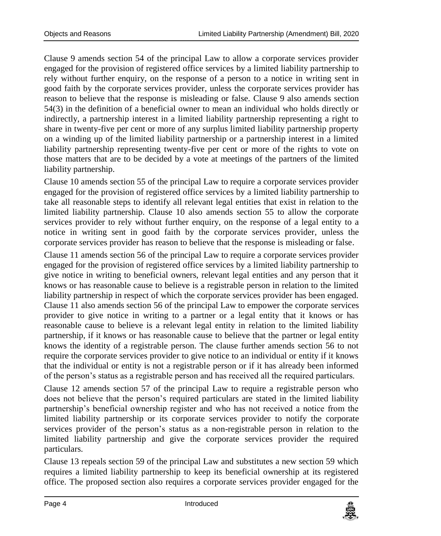Clause 9 amends section 54 of the principal Law to allow a corporate services provider engaged for the provision of registered office services by a limited liability partnership to rely without further enquiry, on the response of a person to a notice in writing sent in good faith by the corporate services provider, unless the corporate services provider has reason to believe that the response is misleading or false. Clause 9 also amends section 54(3) in the definition of a beneficial owner to mean an individual who holds directly or indirectly, a partnership interest in a limited liability partnership representing a right to share in twenty-five per cent or more of any surplus limited liability partnership property on a winding up of the limited liability partnership or a partnership interest in a limited liability partnership representing twenty-five per cent or more of the rights to vote on those matters that are to be decided by a vote at meetings of the partners of the limited liability partnership.

Clause 10 amends section 55 of the principal Law to require a corporate services provider engaged for the provision of registered office services by a limited liability partnership to take all reasonable steps to identify all relevant legal entities that exist in relation to the limited liability partnership. Clause 10 also amends section 55 to allow the corporate services provider to rely without further enquiry, on the response of a legal entity to a notice in writing sent in good faith by the corporate services provider, unless the corporate services provider has reason to believe that the response is misleading or false.

Clause 11 amends section 56 of the principal Law to require a corporate services provider engaged for the provision of registered office services by a limited liability partnership to give notice in writing to beneficial owners, relevant legal entities and any person that it knows or has reasonable cause to believe is a registrable person in relation to the limited liability partnership in respect of which the corporate services provider has been engaged. Clause 11 also amends section 56 of the principal Law to empower the corporate services provider to give notice in writing to a partner or a legal entity that it knows or has reasonable cause to believe is a relevant legal entity in relation to the limited liability partnership, if it knows or has reasonable cause to believe that the partner or legal entity knows the identity of a registrable person. The clause further amends section 56 to not require the corporate services provider to give notice to an individual or entity if it knows that the individual or entity is not a registrable person or if it has already been informed of the person's status as a registrable person and has received all the required particulars.

Clause 12 amends section 57 of the principal Law to require a registrable person who does not believe that the person's required particulars are stated in the limited liability partnership's beneficial ownership register and who has not received a notice from the limited liability partnership or its corporate services provider to notify the corporate services provider of the person's status as a non-registrable person in relation to the limited liability partnership and give the corporate services provider the required particulars.

Clause 13 repeals section 59 of the principal Law and substitutes a new section 59 which requires a limited liability partnership to keep its beneficial ownership at its registered office. The proposed section also requires a corporate services provider engaged for the

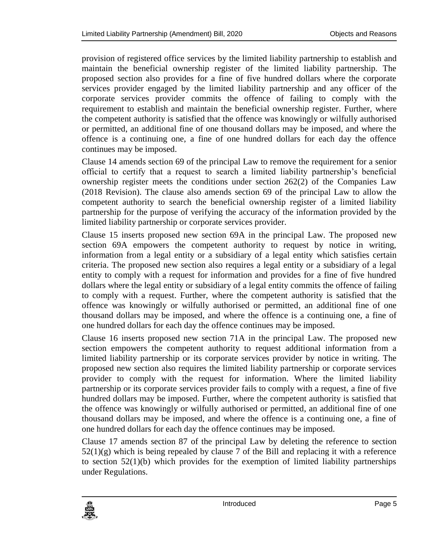provision of registered office services by the limited liability partnership to establish and maintain the beneficial ownership register of the limited liability partnership. The proposed section also provides for a fine of five hundred dollars where the corporate services provider engaged by the limited liability partnership and any officer of the corporate services provider commits the offence of failing to comply with the requirement to establish and maintain the beneficial ownership register. Further, where the competent authority is satisfied that the offence was knowingly or wilfully authorised or permitted, an additional fine of one thousand dollars may be imposed, and where the offence is a continuing one, a fine of one hundred dollars for each day the offence continues may be imposed.

Clause 14 amends section 69 of the principal Law to remove the requirement for a senior official to certify that a request to search a limited liability partnership's beneficial ownership register meets the conditions under section 262(2) of the Companies Law (2018 Revision). The clause also amends section 69 of the principal Law to allow the competent authority to search the beneficial ownership register of a limited liability partnership for the purpose of verifying the accuracy of the information provided by the limited liability partnership or corporate services provider.

Clause 15 inserts proposed new section 69A in the principal Law. The proposed new section 69A empowers the competent authority to request by notice in writing, information from a legal entity or a subsidiary of a legal entity which satisfies certain criteria. The proposed new section also requires a legal entity or a subsidiary of a legal entity to comply with a request for information and provides for a fine of five hundred dollars where the legal entity or subsidiary of a legal entity commits the offence of failing to comply with a request. Further, where the competent authority is satisfied that the offence was knowingly or wilfully authorised or permitted, an additional fine of one thousand dollars may be imposed, and where the offence is a continuing one, a fine of one hundred dollars for each day the offence continues may be imposed.

Clause 16 inserts proposed new section 71A in the principal Law. The proposed new section empowers the competent authority to request additional information from a limited liability partnership or its corporate services provider by notice in writing. The proposed new section also requires the limited liability partnership or corporate services provider to comply with the request for information. Where the limited liability partnership or its corporate services provider fails to comply with a request, a fine of five hundred dollars may be imposed. Further, where the competent authority is satisfied that the offence was knowingly or wilfully authorised or permitted, an additional fine of one thousand dollars may be imposed, and where the offence is a continuing one, a fine of one hundred dollars for each day the offence continues may be imposed.

Clause 17 amends section 87 of the principal Law by deleting the reference to section  $52(1)(g)$  which is being repealed by clause 7 of the Bill and replacing it with a reference to section  $52(1)(b)$  which provides for the exemption of limited liability partnerships under Regulations.

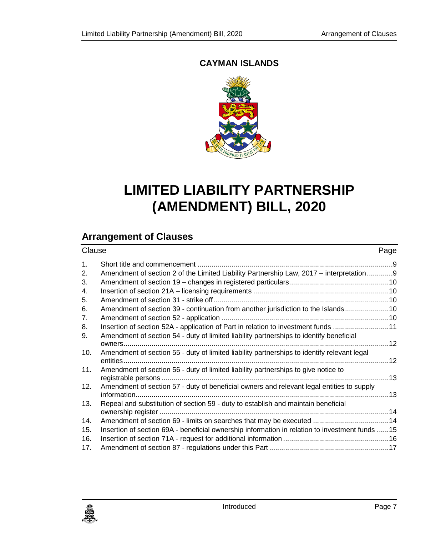#### **CAYMAN ISLANDS**



### **LIMITED LIABILITY PARTNERSHIP (AMENDMENT) BILL, 2020**

#### **Arrangement of Clauses**

| Clause         |                                                                                                                                                                        | Page |
|----------------|------------------------------------------------------------------------------------------------------------------------------------------------------------------------|------|
| 1.             |                                                                                                                                                                        |      |
| 2.             | Amendment of section 2 of the Limited Liability Partnership Law, 2017 – interpretation9                                                                                |      |
| 3.             |                                                                                                                                                                        |      |
| 4.             |                                                                                                                                                                        |      |
| 5.             |                                                                                                                                                                        |      |
| 6.             | Amendment of section 39 - continuation from another jurisdiction to the Islands 10                                                                                     |      |
| 7 <sub>1</sub> |                                                                                                                                                                        |      |
| 8.             | Insertion of section 52A - application of Part in relation to investment funds 11                                                                                      |      |
| 9.             | Amendment of section 54 - duty of limited liability partnerships to identify beneficial                                                                                |      |
|                |                                                                                                                                                                        |      |
| 10.            | Amendment of section 55 - duty of limited liability partnerships to identify relevant legal                                                                            |      |
|                |                                                                                                                                                                        |      |
| 11.            | Amendment of section 56 - duty of limited liability partnerships to give notice to                                                                                     |      |
|                |                                                                                                                                                                        |      |
| 12.            | Amendment of section 57 - duty of beneficial owners and relevant legal entities to supply                                                                              |      |
|                |                                                                                                                                                                        |      |
| 13.            | Repeal and substitution of section 59 - duty to establish and maintain beneficial                                                                                      |      |
| 14.            |                                                                                                                                                                        |      |
| 15.            | Amendment of section 69 - limits on searches that may be executed 14<br>Insertion of section 69A - beneficial ownership information in relation to investment funds 15 |      |
| 16.            |                                                                                                                                                                        |      |
| 17.            |                                                                                                                                                                        |      |
|                |                                                                                                                                                                        |      |

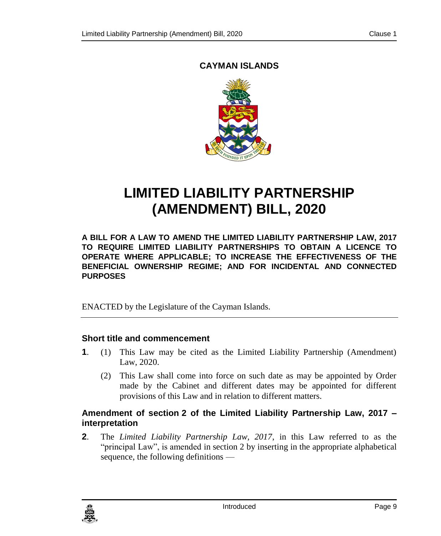#### <span id="page-8-0"></span>**CAYMAN ISLANDS**



## **LIMITED LIABILITY PARTNERSHIP (AMENDMENT) BILL, 2020**

**A BILL FOR A LAW TO AMEND THE LIMITED LIABILITY PARTNERSHIP LAW, 2017 TO REQUIRE LIMITED LIABILITY PARTNERSHIPS TO OBTAIN A LICENCE TO OPERATE WHERE APPLICABLE; TO INCREASE THE EFFECTIVENESS OF THE BENEFICIAL OWNERSHIP REGIME; AND FOR INCIDENTAL AND CONNECTED PURPOSES**

ENACTED by the Legislature of the Cayman Islands.

#### **1. Short title and commencement**

- **1**. (1) This Law may be cited as the Limited Liability Partnership (Amendment) Law, 2020.
	- (2) This Law shall come into force on such date as may be appointed by Order made by the Cabinet and different dates may be appointed for different provisions of this Law and in relation to different matters.

#### <span id="page-8-1"></span>**2. Amendment of section 2 of the Limited Liability Partnership Law, 2017 – interpretation**

**2**. The *Limited Liability Partnership Law, 2017*, in this Law referred to as the "principal Law", is amended in section 2 by inserting in the appropriate alphabetical sequence, the following definitions —

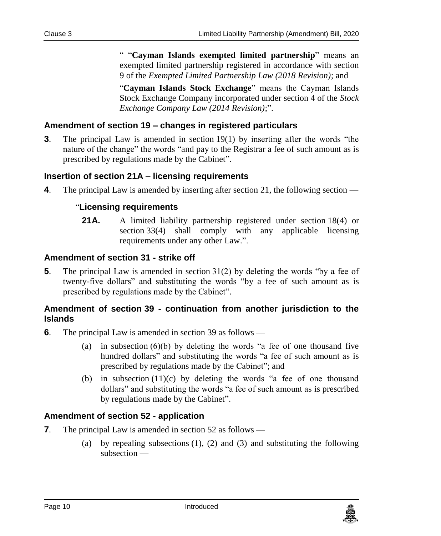" "**Cayman Islands exempted limited partnership**" means an exempted limited partnership registered in accordance with section 9 of the *Exempted Limited Partnership Law (2018 Revision)*; and

"**Cayman Islands Stock Exchange**" means the Cayman Islands Stock Exchange Company incorporated under section 4 of the *Stock Exchange Company Law (2014 Revision)*;".

#### <span id="page-9-0"></span>**3. Amendment of section 19 – changes in registered particulars**

**3**. The principal Law is amended in section 19(1) by inserting after the words "the nature of the change" the words "and pay to the Registrar a fee of such amount as is prescribed by regulations made by the Cabinet".

#### <span id="page-9-1"></span>**4. Insertion of section 21A – licensing requirements**

**4**. The principal Law is amended by inserting after section 21, the following section —

#### "**Licensing requirements**

21A. A limited liability partnership registered under section 18(4) or section 33(4) shall comply with any applicable licensing requirements under any other Law.".

#### <span id="page-9-2"></span>**5. Amendment of section 31 - strike off**

**5**. The principal Law is amended in section 31(2) by deleting the words "by a fee of twenty-five dollars" and substituting the words "by a fee of such amount as is prescribed by regulations made by the Cabinet".

#### <span id="page-9-3"></span>**6. Amendment of section 39 - continuation from another jurisdiction to the Islands**

- **6**. The principal Law is amended in section 39 as follows
	- (a) in subsection  $(6)(b)$  by deleting the words "a fee of one thousand five hundred dollars" and substituting the words "a fee of such amount as is prescribed by regulations made by the Cabinet"; and
	- (b) in subsection  $(11)(c)$  by deleting the words "a fee of one thousand dollars" and substituting the words "a fee of such amount as is prescribed by regulations made by the Cabinet".

#### <span id="page-9-4"></span>**7. Amendment of section 52 - application**

- **7**. The principal Law is amended in section 52 as follows
	- (a) by repealing subsections (1), (2) and (3) and substituting the following subsection —

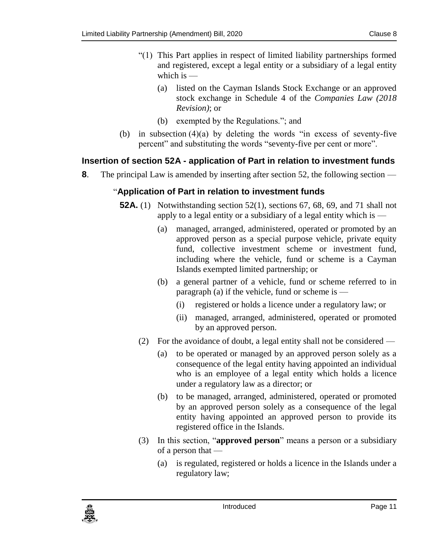- "(1) This Part applies in respect of limited liability partnerships formed and registered, except a legal entity or a subsidiary of a legal entity which is —
	- (a) listed on the Cayman Islands Stock Exchange or an approved stock exchange in Schedule 4 of the *Companies Law (2018 Revision)*; or
	- (b) exempted by the Regulations."; and
- (b) in subsection  $(4)(a)$  by deleting the words "in excess of seventy-five percent" and substituting the words "seventy-five per cent or more".

#### <span id="page-10-0"></span>**8. Insertion of section 52A - application of Part in relation to investment funds**

**8**. The principal Law is amended by inserting after section 52, the following section —

#### "**Application of Part in relation to investment funds**

- **52A.** (1) Notwithstanding section 52(1), sections 67, 68, 69, and 71 shall not apply to a legal entity or a subsidiary of a legal entity which is —
	- (a) managed, arranged, administered, operated or promoted by an approved person as a special purpose vehicle, private equity fund, collective investment scheme or investment fund, including where the vehicle, fund or scheme is a Cayman Islands exempted limited partnership; or
	- (b) a general partner of a vehicle, fund or scheme referred to in paragraph (a) if the vehicle, fund or scheme is —
		- (i) registered or holds a licence under a regulatory law; or
		- (ii) managed, arranged, administered, operated or promoted by an approved person.
	- (2) For the avoidance of doubt, a legal entity shall not be considered
		- (a) to be operated or managed by an approved person solely as a consequence of the legal entity having appointed an individual who is an employee of a legal entity which holds a licence under a regulatory law as a director; or
		- (b) to be managed, arranged, administered, operated or promoted by an approved person solely as a consequence of the legal entity having appointed an approved person to provide its registered office in the Islands.
	- (3) In this section, "**approved person**" means a person or a subsidiary of a person that —
		- (a) is regulated, registered or holds a licence in the Islands under a regulatory law;

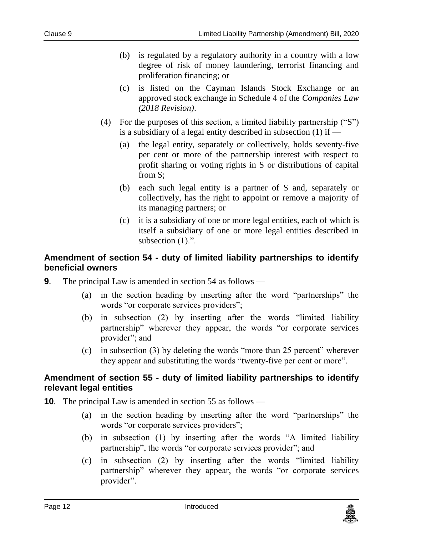- (b) is regulated by a regulatory authority in a country with a low degree of risk of money laundering, terrorist financing and proliferation financing; or
- (c) is listed on the Cayman Islands Stock Exchange or an approved stock exchange in Schedule 4 of the *Companies Law (2018 Revision)*.
- (4) For the purposes of this section, a limited liability partnership ("S") is a subsidiary of a legal entity described in subsection (1) if —
	- (a) the legal entity, separately or collectively, holds seventy-five per cent or more of the partnership interest with respect to profit sharing or voting rights in S or distributions of capital from S;
	- (b) each such legal entity is a partner of S and, separately or collectively, has the right to appoint or remove a majority of its managing partners; or
	- (c) it is a subsidiary of one or more legal entities, each of which is itself a subsidiary of one or more legal entities described in subsection (1).".

#### <span id="page-11-0"></span>**9. Amendment of section 54 - duty of limited liability partnerships to identify beneficial owners**

- **9**. The principal Law is amended in section 54 as follows
	- (a) in the section heading by inserting after the word "partnerships" the words "or corporate services providers";
	- (b) in subsection (2) by inserting after the words "limited liability partnership" wherever they appear, the words "or corporate services provider"; and
	- (c) in subsection (3) by deleting the words "more than 25 percent" wherever they appear and substituting the words "twenty-five per cent or more".

#### <span id="page-11-1"></span>**10. Amendment of section 55 - duty of limited liability partnerships to identify relevant legal entities**

- **10**. The principal Law is amended in section 55 as follows
	- (a) in the section heading by inserting after the word "partnerships" the words "or corporate services providers";
	- (b) in subsection (1) by inserting after the words "A limited liability partnership", the words "or corporate services provider"; and
	- (c) in subsection (2) by inserting after the words "limited liability partnership" wherever they appear, the words "or corporate services provider".

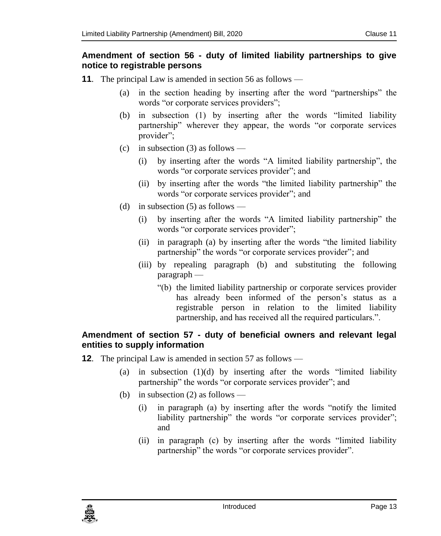#### <span id="page-12-0"></span>**11. Amendment of section 56 - duty of limited liability partnerships to give notice to registrable persons**

- **11**. The principal Law is amended in section 56 as follows
	- (a) in the section heading by inserting after the word "partnerships" the words "or corporate services providers";
	- (b) in subsection (1) by inserting after the words "limited liability partnership" wherever they appear, the words "or corporate services provider";
	- (c) in subsection  $(3)$  as follows
		- (i) by inserting after the words "A limited liability partnership", the words "or corporate services provider"; and
		- (ii) by inserting after the words "the limited liability partnership" the words "or corporate services provider"; and
	- (d) in subsection  $(5)$  as follows -
		- (i) by inserting after the words "A limited liability partnership" the words "or corporate services provider";
		- (ii) in paragraph (a) by inserting after the words "the limited liability partnership" the words "or corporate services provider"; and
		- (iii) by repealing paragraph (b) and substituting the following paragraph —
			- "(b) the limited liability partnership or corporate services provider has already been informed of the person's status as a registrable person in relation to the limited liability partnership, and has received all the required particulars.".

#### <span id="page-12-1"></span>**12. Amendment of section 57 - duty of beneficial owners and relevant legal entities to supply information**

- **12.** The principal Law is amended in section 57 as follows
	- (a) in subsection (1)(d) by inserting after the words "limited liability partnership" the words "or corporate services provider"; and
	- (b) in subsection (2) as follows
		- (i) in paragraph (a) by inserting after the words "notify the limited liability partnership" the words "or corporate services provider"; and
		- (ii) in paragraph (c) by inserting after the words "limited liability partnership" the words "or corporate services provider".

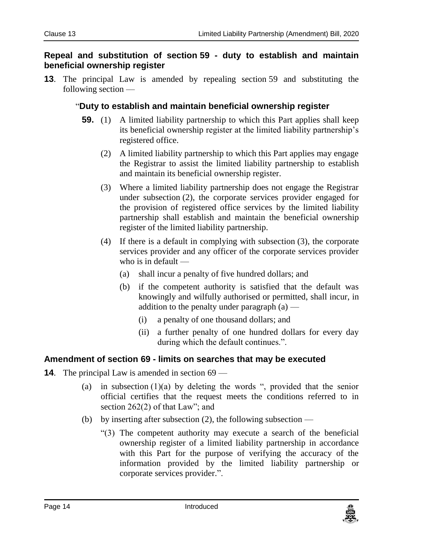#### <span id="page-13-0"></span>**13. Repeal and substitution of section 59 - duty to establish and maintain beneficial ownership register**

**13**. The principal Law is amended by repealing section 59 and substituting the following section —

#### "**Duty to establish and maintain beneficial ownership register**

- **59.** (1) A limited liability partnership to which this Part applies shall keep its beneficial ownership register at the limited liability partnership's registered office.
	- (2) A limited liability partnership to which this Part applies may engage the Registrar to assist the limited liability partnership to establish and maintain its beneficial ownership register.
	- (3) Where a limited liability partnership does not engage the Registrar under subsection (2), the corporate services provider engaged for the provision of registered office services by the limited liability partnership shall establish and maintain the beneficial ownership register of the limited liability partnership.
	- (4) If there is a default in complying with subsection (3), the corporate services provider and any officer of the corporate services provider who is in default —
		- (a) shall incur a penalty of five hundred dollars; and
		- (b) if the competent authority is satisfied that the default was knowingly and wilfully authorised or permitted, shall incur, in addition to the penalty under paragraph (a) —
			- (i) a penalty of one thousand dollars; and
			- (ii) a further penalty of one hundred dollars for every day during which the default continues.".

#### <span id="page-13-1"></span>**14. Amendment of section 69 - limits on searches that may be executed**

- **14.** The principal Law is amended in section 69
	- (a) in subsection  $(1)(a)$  by deleting the words ", provided that the senior official certifies that the request meets the conditions referred to in section 262(2) of that Law"; and
	- (b) by inserting after subsection  $(2)$ , the following subsection
		- "(3) The competent authority may execute a search of the beneficial ownership register of a limited liability partnership in accordance with this Part for the purpose of verifying the accuracy of the information provided by the limited liability partnership or corporate services provider.".

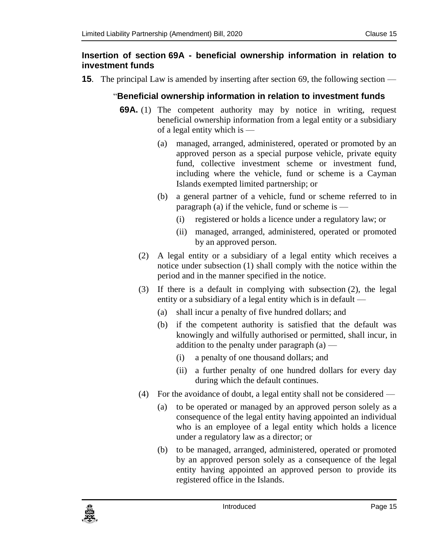#### <span id="page-14-0"></span>**15. Insertion of section 69A - beneficial ownership information in relation to investment funds**

**15**. The principal Law is amended by inserting after section 69, the following section —

#### "**Beneficial ownership information in relation to investment funds**

- **69A.** (1) The competent authority may by notice in writing, request beneficial ownership information from a legal entity or a subsidiary of a legal entity which is —
	- (a) managed, arranged, administered, operated or promoted by an approved person as a special purpose vehicle, private equity fund, collective investment scheme or investment fund, including where the vehicle, fund or scheme is a Cayman Islands exempted limited partnership; or
	- (b) a general partner of a vehicle, fund or scheme referred to in paragraph (a) if the vehicle, fund or scheme is —
		- (i) registered or holds a licence under a regulatory law; or
		- (ii) managed, arranged, administered, operated or promoted by an approved person.
	- (2) A legal entity or a subsidiary of a legal entity which receives a notice under subsection (1) shall comply with the notice within the period and in the manner specified in the notice.
	- (3) If there is a default in complying with subsection (2), the legal entity or a subsidiary of a legal entity which is in default —
		- (a) shall incur a penalty of five hundred dollars; and
		- (b) if the competent authority is satisfied that the default was knowingly and wilfully authorised or permitted, shall incur, in addition to the penalty under paragraph  $(a)$  —
			- (i) a penalty of one thousand dollars; and
			- (ii) a further penalty of one hundred dollars for every day during which the default continues.
	- (4) For the avoidance of doubt, a legal entity shall not be considered
		- (a) to be operated or managed by an approved person solely as a consequence of the legal entity having appointed an individual who is an employee of a legal entity which holds a licence under a regulatory law as a director; or
		- (b) to be managed, arranged, administered, operated or promoted by an approved person solely as a consequence of the legal entity having appointed an approved person to provide its registered office in the Islands.

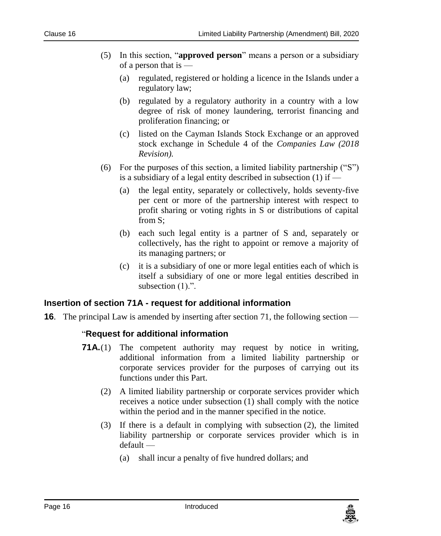- (5) In this section, "**approved person**" means a person or a subsidiary of a person that is —
	- (a) regulated, registered or holding a licence in the Islands under a regulatory law;
	- (b) regulated by a regulatory authority in a country with a low degree of risk of money laundering, terrorist financing and proliferation financing; or
	- (c) listed on the Cayman Islands Stock Exchange or an approved stock exchange in Schedule 4 of the *Companies Law (2018 Revision).*
- (6) For the purposes of this section, a limited liability partnership ("S") is a subsidiary of a legal entity described in subsection  $(1)$  if  $-$ 
	- (a) the legal entity, separately or collectively, holds seventy-five per cent or more of the partnership interest with respect to profit sharing or voting rights in S or distributions of capital from S;
	- (b) each such legal entity is a partner of S and, separately or collectively, has the right to appoint or remove a majority of its managing partners; or
	- (c) it is a subsidiary of one or more legal entities each of which is itself a subsidiary of one or more legal entities described in subsection  $(1)$ .".

#### <span id="page-15-0"></span>**16. Insertion of section 71A - request for additional information**

**16**. The principal Law is amended by inserting after section 71, the following section —

#### "**Request for additional information**

- **71A.**(1) The competent authority may request by notice in writing, additional information from a limited liability partnership or corporate services provider for the purposes of carrying out its functions under this Part.
	- (2) A limited liability partnership or corporate services provider which receives a notice under subsection (1) shall comply with the notice within the period and in the manner specified in the notice.
	- (3) If there is a default in complying with subsection (2), the limited liability partnership or corporate services provider which is in default —
		- (a) shall incur a penalty of five hundred dollars; and